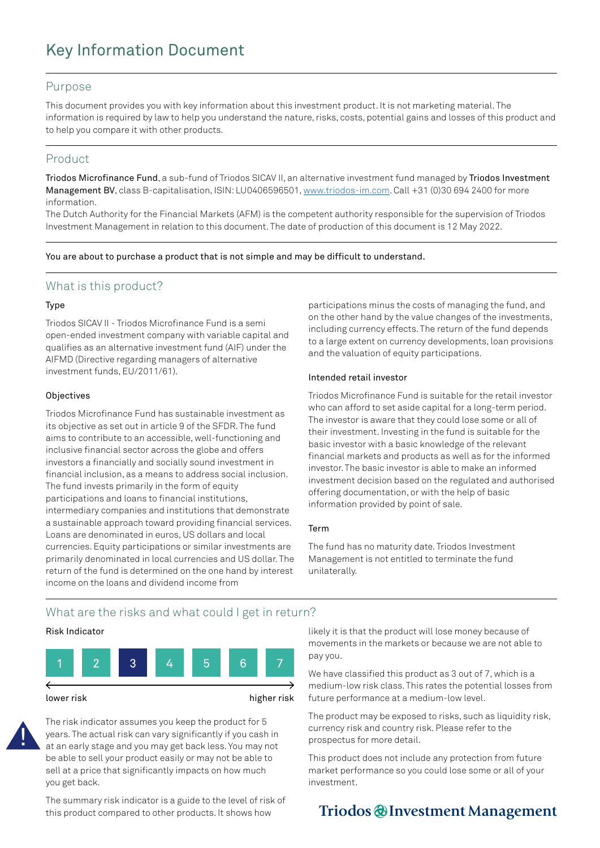# Key Information Document

## Purpose

This document provides you with key information about this investment product. It is not marketing material. The information is required by law to help you understand the nature, risks, costs, potential gains and losses of this product and to help you compare it with other products.

## Product

Triodos Microfinance Fund, a sub-fund of Triodos SICAV II, an alternative investment fund managed by Triodos Investment Management BV, class B-capitalisation, ISIN: LU0406596501, [www.triodos-im.com.](http://www.triodos-im.com) Call +31 (0)30 694 2400 for more information.

The Dutch Authority for the Financial Markets (AFM) is the competent authority responsible for the supervision of Triodos Investment Management in relation to this document. The date of production of this document is 12 May 2022.

You are about to purchase a product that is not simple and may be difficult to understand.

## What is this product?

#### Type

Triodos SICAV II - Triodos Microfinance Fund is a semi open-ended investment company with variable capital and qualifies as an alternative investment fund (AIF) under the AIFMD (Directive regarding managers of alternative investment funds, EU/2011/61).

## **Objectives**

Triodos Microfinance Fund has sustainable investment as its objective as set out in article 9 of the SFDR. The fund aims to contribute to an accessible, well-functioning and inclusive financial sector across the globe and offers investors a financially and socially sound investment in financial inclusion, as a means to address social inclusion. The fund invests primarily in the form of equity participations and loans to financial institutions, intermediary companies and institutions that demonstrate a sustainable approach toward providing financial services. Loans are denominated in euros, US dollars and local currencies. Equity participations or similar investments are primarily denominated in local currencies and US dollar. The return of the fund is determined on the one hand by interest income on the loans and dividend income from

participations minus the costs of managing the fund, and on the other hand by the value changes of the investments, including currency effects. The return of the fund depends to a large extent on currency developments, loan provisions and the valuation of equity participations.

## Intended retail investor

Triodos Microfinance Fund is suitable for the retail investor who can afford to set aside capital for a long-term period. The investor is aware that they could lose some or all of their investment. Investing in the fund is suitable for the basic investor with a basic knowledge of the relevant financial markets and products as well as for the informed investor. The basic investor is able to make an informed investment decision based on the regulated and authorised offering documentation, or with the help of basic information provided by point of sale.

#### Term

The fund has no maturity date. Triodos Investment Management is not entitled to terminate the fund unilaterally.

# What are the risks and what could I get in return?

## Risk Indicator



The risk indicator assumes you keep the product for 5 years. The actual risk can vary significantly if you cash in at an early stage and you may get back less. You may not be able to sell your product easily or may not be able to sell at a price that significantly impacts on how much you get back.

The summary risk indicator is a guide to the level of risk of this product compared to other products. It shows how

likely it is that the product will lose money because of movements in the markets or because we are not able to pay you.

We have classified this product as 3 out of 7, which is a medium-low risk class. This rates the potential losses from future performance at a medium-low level.

The product may be exposed to risks, such as liquidity risk, currency risk and country risk. Please refer to the prospectus for more detail.

This product does not include any protection from future market performance so you could lose some or all of your investment.

# Triodos @ Investment Management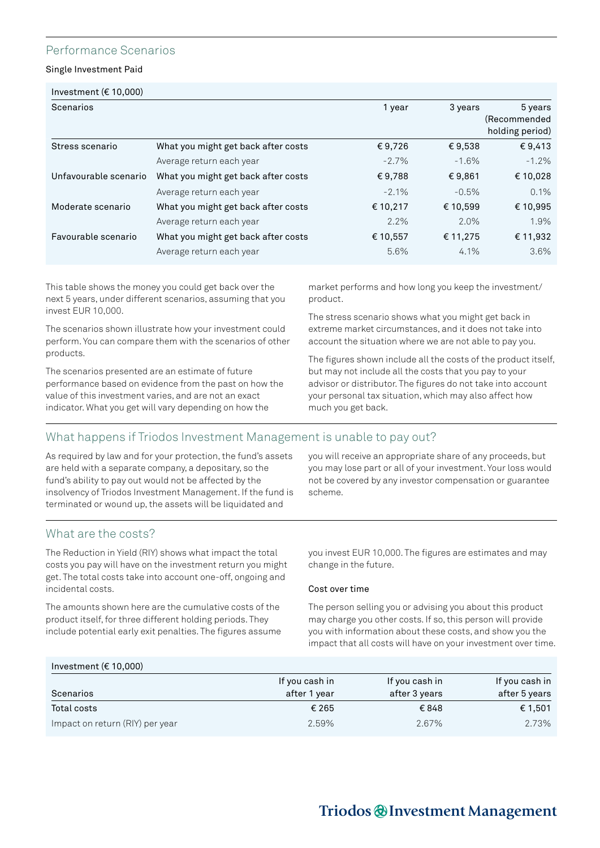## Performance Scenarios

Single Investment Paid

| Investment ( $\epsilon$ 10,000)<br>Scenarios |                                     | 1 year   | 3 years  | 5 years                         |
|----------------------------------------------|-------------------------------------|----------|----------|---------------------------------|
|                                              |                                     |          |          | (Recommended<br>holding period) |
| Stress scenario                              | What you might get back after costs | €9,726   | €9,538   | €9,413                          |
|                                              | Average return each year            | $-2.7%$  | $-1.6%$  | $-1.2\%$                        |
| Unfavourable scenario                        | What you might get back after costs | €9,788   | €9,861   | € 10,028                        |
|                                              | Average return each year            | $-2.1\%$ | $-0.5%$  | $0.1\%$                         |
| Moderate scenario                            | What you might get back after costs | € 10,217 | € 10,599 | € 10,995                        |
|                                              | Average return each year            | 2.2%     | 2.0%     | 1.9%                            |
| Favourable scenario                          | What you might get back after costs | € 10,557 | € 11,275 | € 11,932                        |
|                                              | Average return each year            | 5.6%     | 4.1%     | 3.6%                            |

This table shows the money you could get back over the next 5 years, under different scenarios, assuming that you invest EUR 10,000.

The scenarios shown illustrate how your investment could perform. You can compare them with the scenarios of other products.

The scenarios presented are an estimate of future performance based on evidence from the past on how the value of this investment varies, and are not an exact indicator. What you get will vary depending on how the

market performs and how long you keep the investment/ product.

The stress scenario shows what you might get back in extreme market circumstances, and it does not take into account the situation where we are not able to pay you.

The figures shown include all the costs of the product itself, but may not include all the costs that you pay to your advisor or distributor. The figures do not take into account your personal tax situation, which may also affect how much you get back.

# What happens if Triodos Investment Management is unable to pay out?

As required by law and for your protection, the fund's assets are held with a separate company, a depositary, so the fund's ability to pay out would not be affected by the insolvency of Triodos Investment Management. If the fund is terminated or wound up, the assets will be liquidated and

you will receive an appropriate share of any proceeds, but you may lose part or all of your investment. Your loss would not be covered by any investor compensation or guarantee scheme.

# What are the costs?

The Reduction in Yield (RIY) shows what impact the total costs you pay will have on the investment return you might get. The total costs take into account one-off, ongoing and incidental costs.

The amounts shown here are the cumulative costs of the product itself, for three different holding periods. They include potential early exit penalties. The figures assume you invest EUR 10,000. The figures are estimates and may change in the future.

#### Cost over time

The person selling you or advising you about this product may charge you other costs. If so, this person will provide you with information about these costs, and show you the impact that all costs will have on your investment over time.

## Investment (€ 10,000)

| Scenarios                       | If you cash in<br>after 1 year | If you cash in<br>after 3 years | If you cash in<br>after 5 years |
|---------------------------------|--------------------------------|---------------------------------|---------------------------------|
| Total costs                     | € 265                          | €848                            | € 1,501                         |
| Impact on return (RIY) per year | 2.59%                          | 2.67%                           | 2.73%                           |